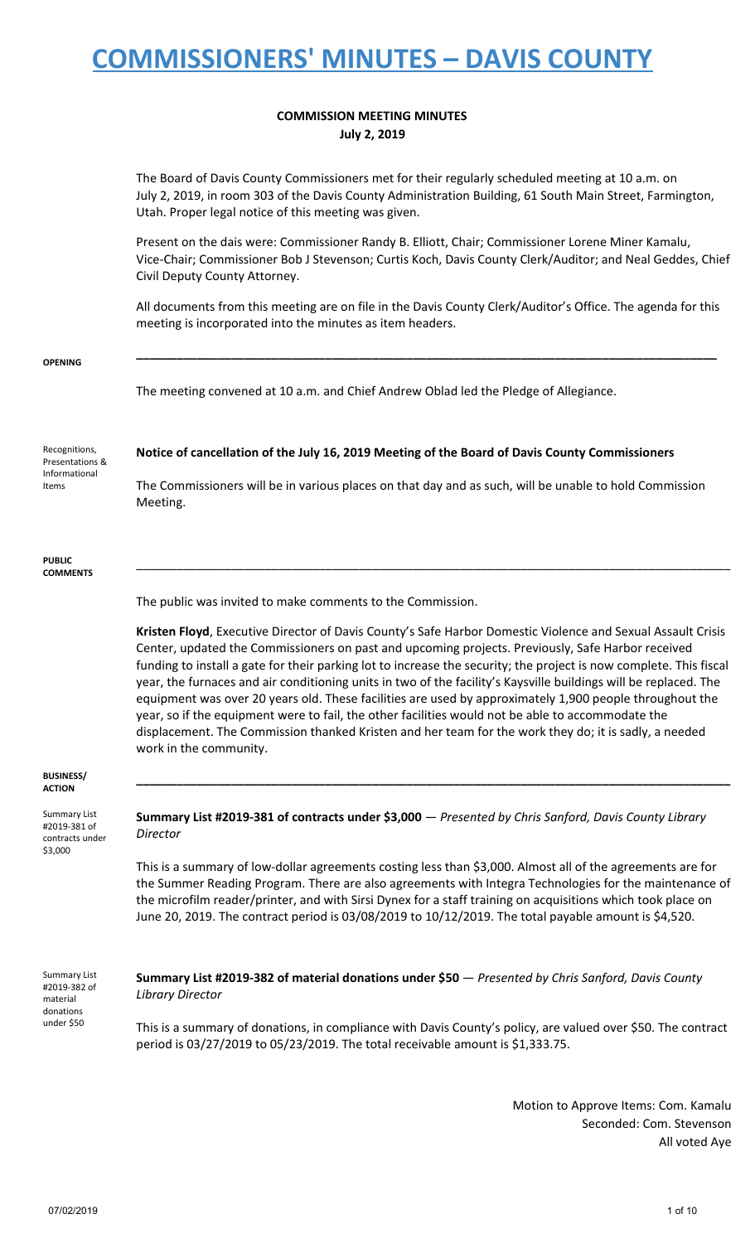#### **COMMISSION MEETING MINUTES July 2, 2019**

The Board of Davis County Commissioners met for their regularly scheduled meeting at 10 a.m. on July 2, 2019, in room 303 of the Davis County Administration Building, 61 South Main Street, Farmington, Utah. Proper legal notice of this meeting was given.

Present on the dais were: Commissioner Randy B. Elliott, Chair; Commissioner Lorene Miner Kamalu, Vice-Chair; Commissioner Bob J Stevenson; Curtis Koch, Davis County Clerk/Auditor; and Neal Geddes, Chief Civil Deputy County Attorney.

All documents from this meeting are on file in the Davis County Clerk/Auditor's Office. The agenda for this meeting is incorporated into the minutes as item headers.

**\_\_\_\_\_\_\_\_\_\_\_\_\_\_\_\_\_\_\_\_\_\_\_\_\_\_\_\_\_\_\_\_\_\_\_\_\_\_\_\_\_\_\_\_\_\_\_\_\_\_\_\_\_\_\_\_\_\_\_\_\_\_\_\_\_\_\_\_\_\_\_\_\_\_\_\_\_\_\_\_\_\_\_\_\_\_**

#### **OPENING**

The meeting convened at 10 a.m. and Chief Andrew Oblad led the Pledge of Allegiance.

Recognitions, Presentations & Informational Items

**Notice of cancellation of the July 16, 2019 Meeting of the Board of Davis County Commissioners**

The Commissioners will be in various places on that day and as such, will be unable to hold Commission Meeting.

#### **PUBLIC COMMENTS**

The public was invited to make comments to the Commission.

**Kristen Floyd**, Executive Director of Davis County's Safe Harbor Domestic Violence and Sexual Assault Crisis Center, updated the Commissioners on past and upcoming projects. Previously, Safe Harbor received funding to install a gate for their parking lot to increase the security; the project is now complete. This fiscal year, the furnaces and air conditioning units in two of the facility's Kaysville buildings will be replaced. The equipment was over 20 years old. These facilities are used by approximately 1,900 people throughout the year, so if the equipment were to fail, the other facilities would not be able to accommodate the displacement. The Commission thanked Kristen and her team for the work they do; it is sadly, a needed work in the community.

**\_\_\_\_\_\_\_\_\_\_\_\_\_\_\_\_\_\_\_\_\_\_\_\_\_\_\_\_\_\_\_\_\_\_\_\_\_\_\_\_\_\_\_\_\_\_\_\_\_\_\_\_\_\_\_\_\_\_\_\_\_\_\_\_\_\_\_\_\_\_\_\_\_\_\_\_\_\_\_\_\_\_\_\_\_\_\_\_**

\_\_\_\_\_\_\_\_\_\_\_\_\_\_\_\_\_\_\_\_\_\_\_\_\_\_\_\_\_\_\_\_\_\_\_\_\_\_\_\_\_\_\_\_\_\_\_\_\_\_\_\_\_\_\_\_\_\_\_\_\_\_\_\_\_\_\_\_\_\_\_\_\_\_\_\_\_\_\_\_\_\_\_\_\_\_\_\_

#### **BUSINESS/ ACTION**

Summary List #2019-381 of contracts under \$3,000

**Summary List #2019-381 of contracts under \$3,000** — *Presented by Chris Sanford, Davis County Library Director*

This is a summary of low-dollar agreements costing less than \$3,000. Almost all of the agreements are for the Summer Reading Program. There are also agreements with Integra Technologies for the maintenance of the microfilm reader/printer, and with Sirsi Dynex for a staff training on acquisitions which took place on June 20, 2019. The contract period is 03/08/2019 to 10/12/2019. The total payable amount is \$4,520.

Summary List #2019-382 of material donations under \$50

**Summary List #2019-382 of material donations under \$50** — *Presented by Chris Sanford, Davis County Library Director*

This is a summary of donations, in compliance with Davis County's policy, are valued over \$50. The contract period is 03/27/2019 to 05/23/2019. The total receivable amount is \$1,333.75.

> Motion to Approve Items: Com. Kamalu Seconded: Com. Stevenson All voted Aye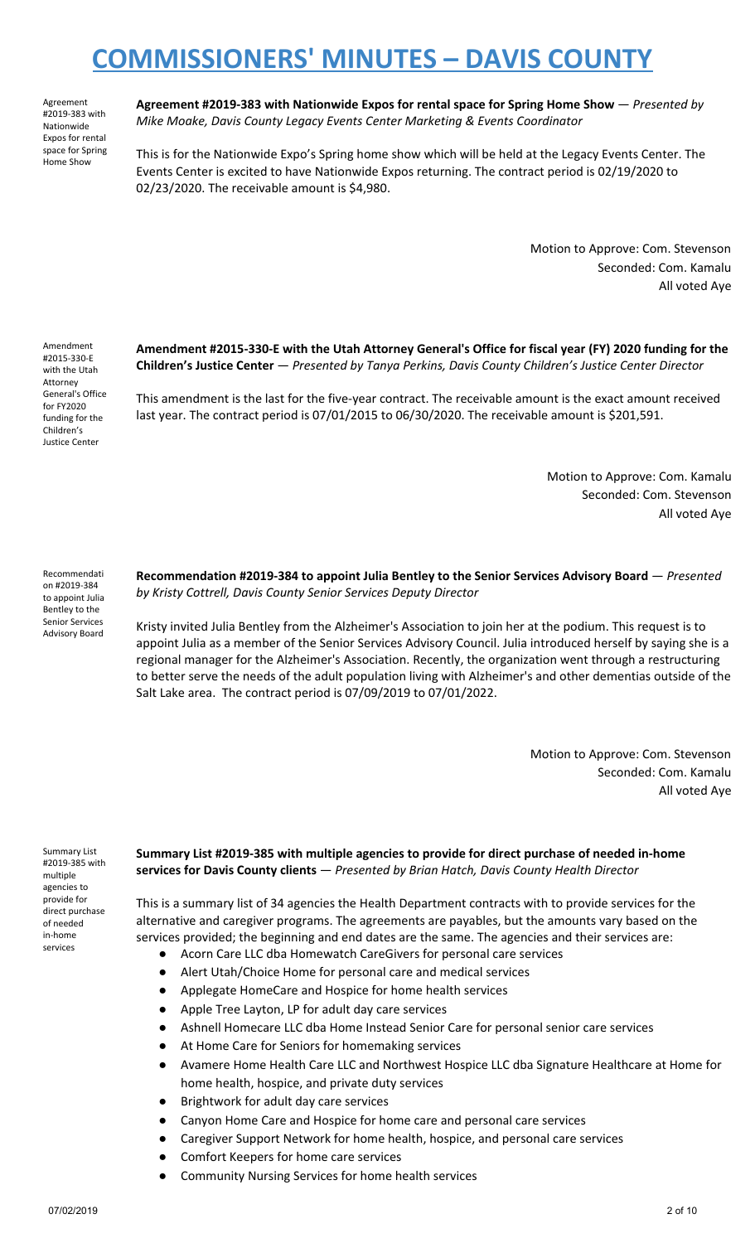Agreement #2019-383 with Nationwide Expos for rental space for Spring Home Show

**Agreement #2019-383 with Nationwide Expos for rental space for Spring Home Show** — *Presented by Mike Moake, Davis County Legacy Events Center Marketing & Events Coordinator*

This is for the Nationwide Expo's Spring home show which will be held at the Legacy Events Center. The Events Center is excited to have Nationwide Expos returning. The contract period is 02/19/2020 to 02/23/2020. The receivable amount is \$4,980.

> Motion to Approve: Com. Stevenson Seconded: Com. Kamalu All voted Aye

Amendment #2015-330-E with the Utah Attorney General's Office for FY2020 funding for the Children's Justice Center

**Amendment #2015-330-E with the Utah Attorney General's Office for fiscal year (FY) 2020 funding for the Children's Justice Center** — *Presented by Tanya Perkins, Davis County Children's Justice Center Director*

This amendment is the last for the five-year contract. The receivable amount is the exact amount received last year. The contract period is 07/01/2015 to 06/30/2020. The receivable amount is \$201,591.

> Motion to Approve: Com. Kamalu Seconded: Com. Stevenson All voted Aye

Recommendati on #2019-384 to appoint Julia Bentley to the Senior Services Advisory Board **Recommendation #2019-384 to appoint Julia Bentley to the Senior Services Advisory Board** — *Presented by Kristy Cottrell, Davis County Senior Services Deputy Director*

Kristy invited Julia Bentley from the Alzheimer's Association to join her at the podium. This request is to appoint Julia as a member of the Senior Services Advisory Council. Julia introduced herself by saying she is a regional manager for the Alzheimer's Association. Recently, the organization went through a restructuring to better serve the needs of the adult population living with Alzheimer's and other dementias outside of the Salt Lake area. The contract period is 07/09/2019 to 07/01/2022.

> Motion to Approve: Com. Stevenson Seconded: Com. Kamalu All voted Aye

Summary List #2019-385 with multiple agencies to provide for direct purchase of needed in-home services

**Summary List #2019-385 with multiple agencies to provide for direct purchase of needed in-home services for Davis County clients** — *Presented by Brian Hatch, Davis County Health Director*

This is a summary list of 34 agencies the Health Department contracts with to provide services for the alternative and caregiver programs. The agreements are payables, but the amounts vary based on the services provided; the beginning and end dates are the same. The agencies and their services are:

- Acorn Care LLC dba Homewatch CareGivers for personal care services
- Alert Utah/Choice Home for personal care and medical services
- Applegate HomeCare and Hospice for home health services
- Apple Tree Layton, LP for adult day care services
- Ashnell Homecare LLC dba Home Instead Senior Care for personal senior care services
- At Home Care for Seniors for homemaking services
- Avamere Home Health Care LLC and Northwest Hospice LLC dba Signature Healthcare at Home for home health, hospice, and private duty services
- Brightwork for adult day care services
- Canyon Home Care and Hospice for home care and personal care services
- Caregiver Support Network for home health, hospice, and personal care services
	- Comfort Keepers for home care services
	- Community Nursing Services for home health services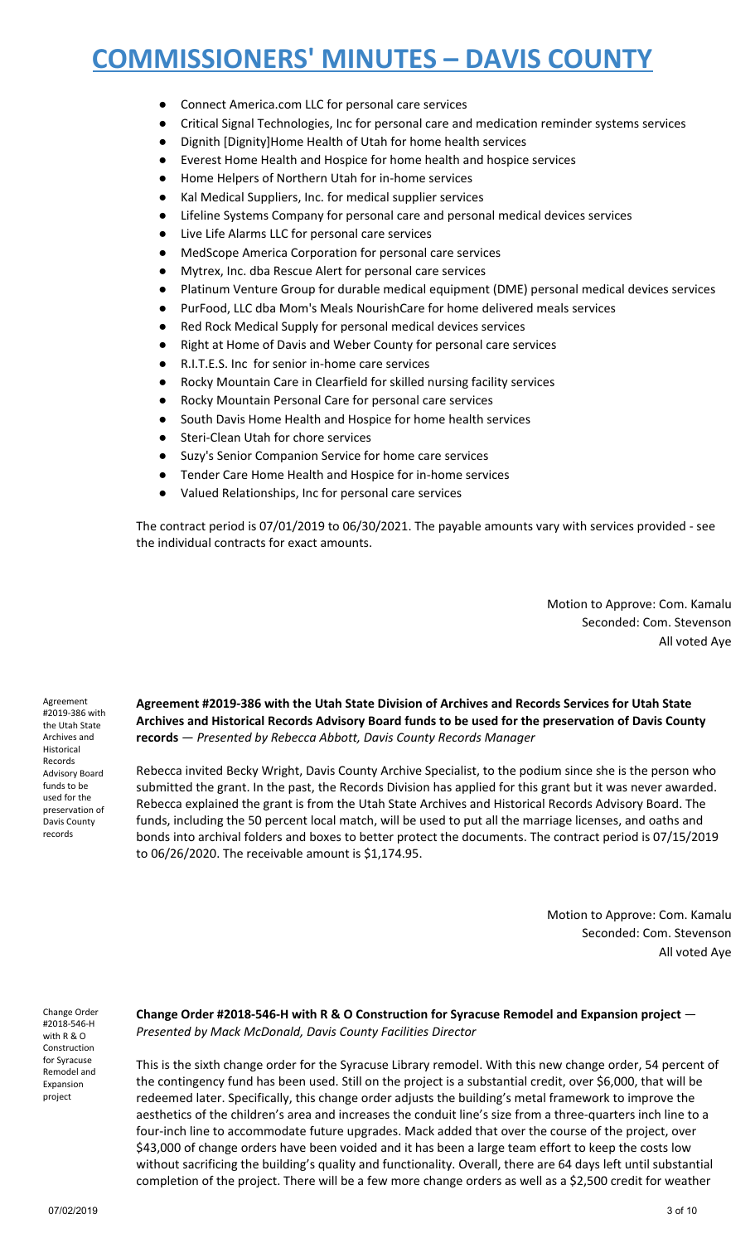- Connect America.com LLC for personal care services
- Critical Signal Technologies, Inc for personal care and medication reminder systems services
- Dignith [Dignity]Home Health of Utah for home health services
- Everest Home Health and Hospice for home health and hospice services
- Home Helpers of Northern Utah for in-home services
- Kal Medical Suppliers, Inc. for medical supplier services
- Lifeline Systems Company for personal care and personal medical devices services
- Live Life Alarms LLC for personal care services
- MedScope America Corporation for personal care services
- Mytrex, Inc. dba Rescue Alert for personal care services
- Platinum Venture Group for durable medical equipment (DME) personal medical devices services
- PurFood, LLC dba Mom's Meals NourishCare for home delivered meals services
- Red Rock Medical Supply for personal medical devices services
- Right at Home of Davis and Weber County for personal care services
- R.I.T.E.S. Inc for senior in-home care services
- Rocky Mountain Care in Clearfield for skilled nursing facility services
- Rocky Mountain Personal Care for personal care services
- South Davis Home Health and Hospice for home health services
- Steri-Clean Utah for chore services
- Suzy's Senior Companion Service for home care services
- Tender Care Home Health and Hospice for in-home services
- Valued Relationships, Inc for personal care services

The contract period is 07/01/2019 to 06/30/2021. The payable amounts vary with services provided - see the individual contracts for exact amounts.

> Motion to Approve: Com. Kamalu Seconded: Com. Stevenson All voted Aye

Agreement #2019-386 with the Utah State Archives and Historical Records Advisory Board funds to be used for the preservation of Davis County records

**Agreement #2019-386 with the Utah State Division of Archives and Records Services for Utah State Archives and Historical Records Advisory Board funds to be used for the preservation of Davis County records** — *Presented by Rebecca Abbott, Davis County Records Manager*

Rebecca invited Becky Wright, Davis County Archive Specialist, to the podium since she is the person who submitted the grant. In the past, the Records Division has applied for this grant but it was never awarded. Rebecca explained the grant is from the Utah State Archives and Historical Records Advisory Board. The funds, including the 50 percent local match, will be used to put all the marriage licenses, and oaths and bonds into archival folders and boxes to better protect the documents. The contract period is 07/15/2019 to 06/26/2020. The receivable amount is \$1,174.95.

> Motion to Approve: Com. Kamalu Seconded: Com. Stevenson All voted Aye

Change Order #2018-546-H with R & O Construction for Syracuse Remodel and Expansion project

**Change Order #2018-546-H with R & O Construction for Syracuse Remodel and Expansion project** — *Presented by Mack McDonald, Davis County Facilities Director*

This is the sixth change order for the Syracuse Library remodel. With this new change order, 54 percent of the contingency fund has been used. Still on the project is a substantial credit, over \$6,000, that will be redeemed later. Specifically, this change order adjusts the building's metal framework to improve the aesthetics of the children's area and increases the conduit line's size from a three-quarters inch line to a four-inch line to accommodate future upgrades. Mack added that over the course of the project, over \$43,000 of change orders have been voided and it has been a large team effort to keep the costs low without sacrificing the building's quality and functionality. Overall, there are 64 days left until substantial completion of the project. There will be a few more change orders as well as a \$2,500 credit for weather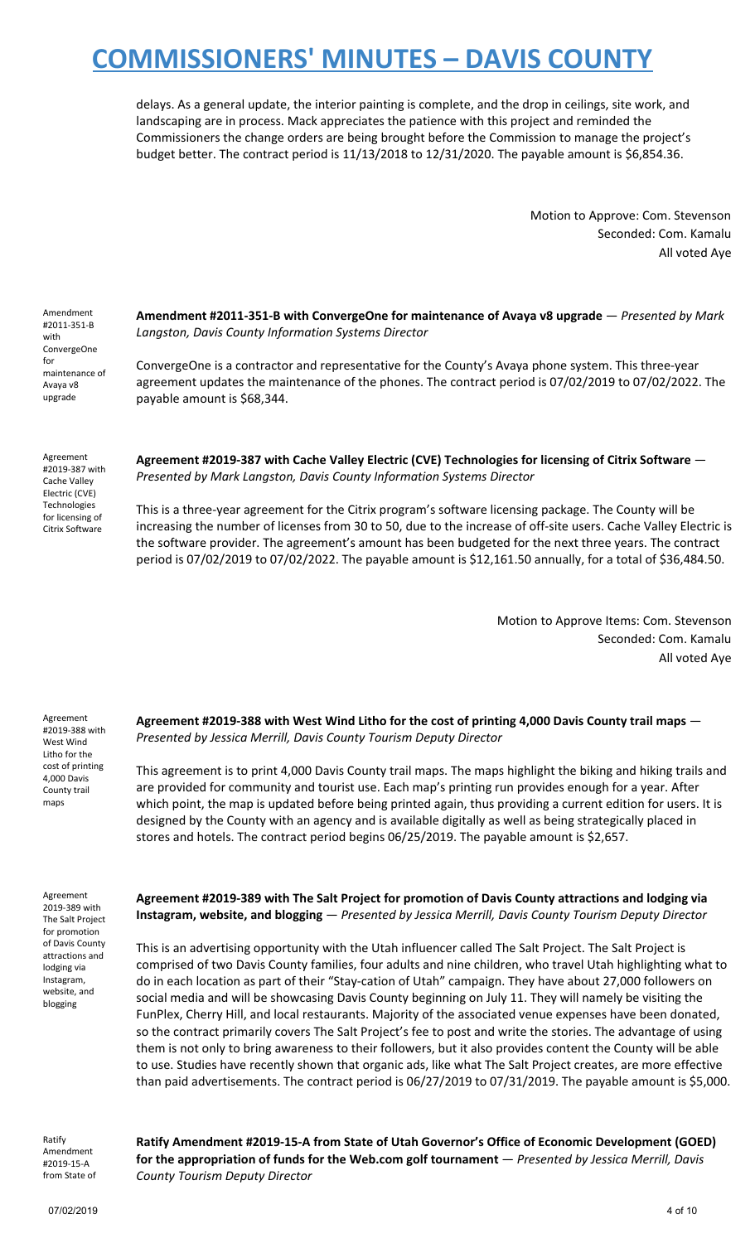delays. As a general update, the interior painting is complete, and the drop in ceilings, site work, and landscaping are in process. Mack appreciates the patience with this project and reminded the Commissioners the change orders are being brought before the Commission to manage the project's budget better. The contract period is 11/13/2018 to 12/31/2020. The payable amount is \$6,854.36.

> Motion to Approve: Com. Stevenson Seconded: Com. Kamalu All voted Aye

Amendment #2011-351-B with ConvergeOne for maintenance of Avaya v8 upgrade

**Amendment #2011-351-B with ConvergeOne for maintenance of Avaya v8 upgrade** — *Presented by Mark Langston, Davis County Information Systems Director*

ConvergeOne is a contractor and representative for the County's Avaya phone system. This three-year agreement updates the maintenance of the phones. The contract period is 07/02/2019 to 07/02/2022. The payable amount is \$68,344.

Agreement #2019-387 with Cache Valley Electric (CVE) Technologies for licensing of Citrix Software

**Agreement #2019-387 with Cache Valley Electric (CVE) Technologies for licensing of Citrix Software** — *Presented by Mark Langston, Davis County Information Systems Director*

This is a three-year agreement for the Citrix program's software licensing package. The County will be increasing the number of licenses from 30 to 50, due to the increase of off-site users. Cache Valley Electric is the software provider. The agreement's amount has been budgeted for the next three years. The contract period is 07/02/2019 to 07/02/2022. The payable amount is \$12,161.50 annually, for a total of \$36,484.50.

> Motion to Approve Items: Com. Stevenson Seconded: Com. Kamalu All voted Aye

Agreement #2019-388 with West Wind Litho for the cost of printing 4,000 Davis County trail maps

**Agreement #2019-388 with West Wind Litho for the cost of printing 4,000 Davis County trail maps** — *Presented by Jessica Merrill, Davis County Tourism Deputy Director*

This agreement is to print 4,000 Davis County trail maps. The maps highlight the biking and hiking trails and are provided for community and tourist use. Each map's printing run provides enough for a year. After which point, the map is updated before being printed again, thus providing a current edition for users. It is designed by the County with an agency and is available digitally as well as being strategically placed in stores and hotels. The contract period begins 06/25/2019. The payable amount is \$2,657.

Agreement 2019-389 with The Salt Project for promotion of Davis County attractions and lodging via Instagram, website, and blogging

**Agreement #2019-389 with The Salt Project for promotion of Davis County attractions and lodging via Instagram, website, and blogging** — *Presented by Jessica Merrill, Davis County Tourism Deputy Director*

This is an advertising opportunity with the Utah influencer called The Salt Project. The Salt Project is comprised of two Davis County families, four adults and nine children, who travel Utah highlighting what to do in each location as part of their "Stay-cation of Utah" campaign. They have about 27,000 followers on social media and will be showcasing Davis County beginning on July 11. They will namely be visiting the FunPlex, Cherry Hill, and local restaurants. Majority of the associated venue expenses have been donated, so the contract primarily covers The Salt Project's fee to post and write the stories. The advantage of using them is not only to bring awareness to their followers, but it also provides content the County will be able to use. Studies have recently shown that organic ads, like what The Salt Project creates, are more effective than paid advertisements. The contract period is 06/27/2019 to 07/31/2019. The payable amount is \$5,000.

Ratify Amendment #2019-15-A from State of

**Ratify Amendment #2019-15-A from State of Utah Governor's Office of Economic Development (GOED) for the appropriation of funds for the Web.com golf tournament** — *Presented by Jessica Merrill, Davis County Tourism Deputy Director*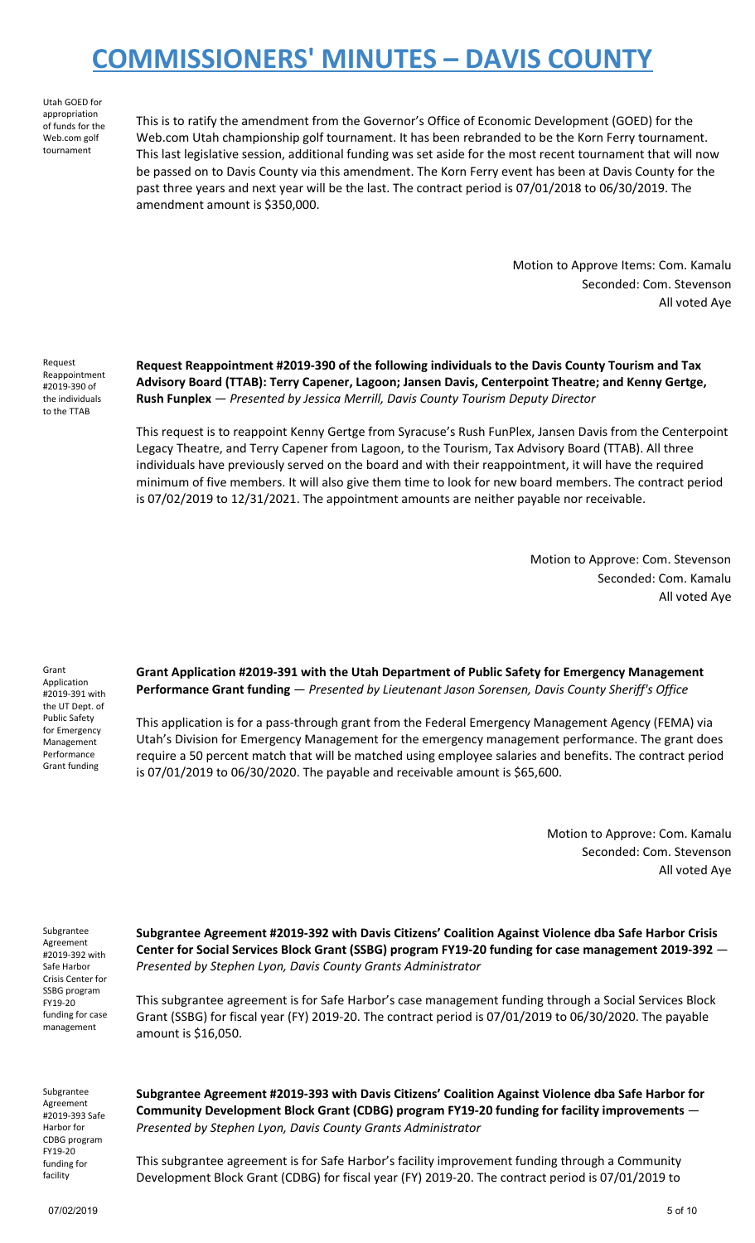Utah GOED for appropriation of funds for the Web.com golf tournament

This is to ratify the amendment from the Governor's Office of Economic Development (GOED) for the Web.com Utah championship golf tournament. It has been rebranded to be the Korn Ferry tournament. This last legislative session, additional funding was set aside for the most recent tournament that will now be passed on to Davis County via this amendment. The Korn Ferry event has been at Davis County for the past three years and next year will be the last. The contract period is 07/01/2018 to 06/30/2019. The amendment amount is \$350,000.

> Motion to Approve Items: Com. Kamalu Seconded: Com. Stevenson All voted Aye

Request Reappointment #2019-390 of the individuals to the TTAB

**Request Reappointment #2019-390 of the following individuals to the Davis County Tourism and Tax Advisory Board (TTAB): Terry Capener, Lagoon; Jansen Davis, Centerpoint Theatre; and Kenny Gertge, Rush Funplex** — *Presented by Jessica Merrill, Davis County Tourism Deputy Director*

This request is to reappoint Kenny Gertge from Syracuse's Rush FunPlex, Jansen Davis from the Centerpoint Legacy Theatre, and Terry Capener from Lagoon, to the Tourism, Tax Advisory Board (TTAB). All three individuals have previously served on the board and with their reappointment, it will have the required minimum of five members. It will also give them time to look for new board members. The contract period is 07/02/2019 to 12/31/2021. The appointment amounts are neither payable nor receivable.

> Motion to Approve: Com. Stevenson Seconded: Com. Kamalu All voted Aye

Grant Application #2019-391 with the UT Dept. of Public Safety for Emergency Management Performance Grant funding

**Grant Application #2019-391 with the Utah Department of Public Safety for Emergency Management Performance Grant funding** — *Presented by Lieutenant Jason Sorensen, Davis County Sheriff's Office*

This application is for a pass-through grant from the Federal Emergency Management Agency (FEMA) via Utah's Division for Emergency Management for the emergency management performance. The grant does require a 50 percent match that will be matched using employee salaries and benefits. The contract period is 07/01/2019 to 06/30/2020. The payable and receivable amount is \$65,600.

> Motion to Approve: Com. Kamalu Seconded: Com. Stevenson All voted Aye

Subgrantee Agreement #2019-392 with Safe Harbor Crisis Center for SSBG program FY19-20 funding for case management

**Subgrantee Agreement #2019-392 with Davis Citizens' Coalition Against Violence dba Safe Harbor Crisis Center for Social Services Block Grant (SSBG) program FY19-20 funding for case management 2019-392** — *Presented by Stephen Lyon, Davis County Grants Administrator*

This subgrantee agreement is for Safe Harbor's case management funding through a Social Services Block Grant (SSBG) for fiscal year (FY) 2019-20. The contract period is 07/01/2019 to 06/30/2020. The payable amount is \$16,050.

Subgrantee Agreement #2019-393 Safe Harbor for CDBG program FY19-20 funding for facility

**Subgrantee Agreement #2019-393 with Davis Citizens' Coalition Against Violence dba Safe Harbor for Community Development Block Grant (CDBG) program FY19-20 funding for facility improvements** — *Presented by Stephen Lyon, Davis County Grants Administrator*

This subgrantee agreement is for Safe Harbor's facility improvement funding through a Community Development Block Grant (CDBG) for fiscal year (FY) 2019-20. The contract period is 07/01/2019 to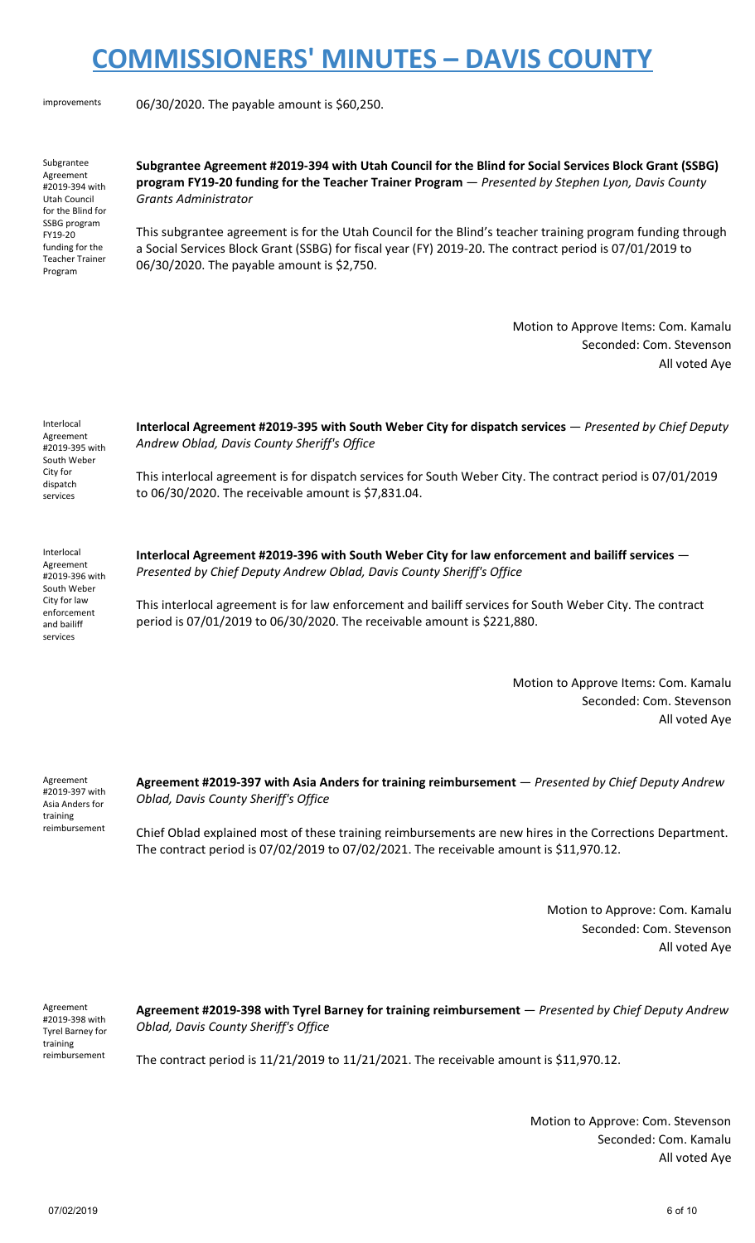improvements 06/30/2020. The payable amount is \$60,250.

Subgrantee Agreement #2019-394 with Utah Council for the Blind for SSBG program FY19-20 funding for the Teacher Trainer Program

**Subgrantee Agreement #2019-394 with Utah Council for the Blind for Social Services Block Grant (SSBG) program FY19-20 funding for the Teacher Trainer Program** — *Presented by Stephen Lyon, Davis County Grants Administrator*

This subgrantee agreement is for the Utah Council for the Blind's teacher training program funding through a Social Services Block Grant (SSBG) for fiscal year (FY) 2019-20. The contract period is 07/01/2019 to 06/30/2020. The payable amount is \$2,750.

> Motion to Approve Items: Com. Kamalu Seconded: Com. Stevenson All voted Aye

Interlocal Agreement #2019-395 with South Weber City for dispatch services

**Interlocal Agreement #2019-395 with South Weber City for dispatch services** — *Presented by Chief Deputy Andrew Oblad, Davis County Sheriff's Office*

This interlocal agreement is for dispatch services for South Weber City. The contract period is 07/01/2019 to 06/30/2020. The receivable amount is \$7,831.04.

Interlocal Agreement #2019-396 with South Weber City for law enforcement and bailiff services

**Interlocal Agreement #2019-396 with South Weber City for law enforcement and bailiff services** — *Presented by Chief Deputy Andrew Oblad, Davis County Sheriff's Office*

This interlocal agreement is for law enforcement and bailiff services for South Weber City. The contract period is 07/01/2019 to 06/30/2020. The receivable amount is \$221,880.

> Motion to Approve Items: Com. Kamalu Seconded: Com. Stevenson All voted Aye

Agreement #2019-397 with Asia Anders for training reimbursement **Agreement #2019-397 with Asia Anders for training reimbursement** — *Presented by Chief Deputy Andrew Oblad, Davis County Sheriff's Office*

Chief Oblad explained most of these training reimbursements are new hires in the Corrections Department. The contract period is 07/02/2019 to 07/02/2021. The receivable amount is \$11,970.12.

> Motion to Approve: Com. Kamalu Seconded: Com. Stevenson All voted Aye

Agreement #2019-398 with Tyrel Barney for training reimbursement

**Agreement #2019-398 with Tyrel Barney for training reimbursement** — *Presented by Chief Deputy Andrew Oblad, Davis County Sheriff's Office*

The contract period is 11/21/2019 to 11/21/2021. The receivable amount is \$11,970.12.

Motion to Approve: Com. Stevenson Seconded: Com. Kamalu All voted Aye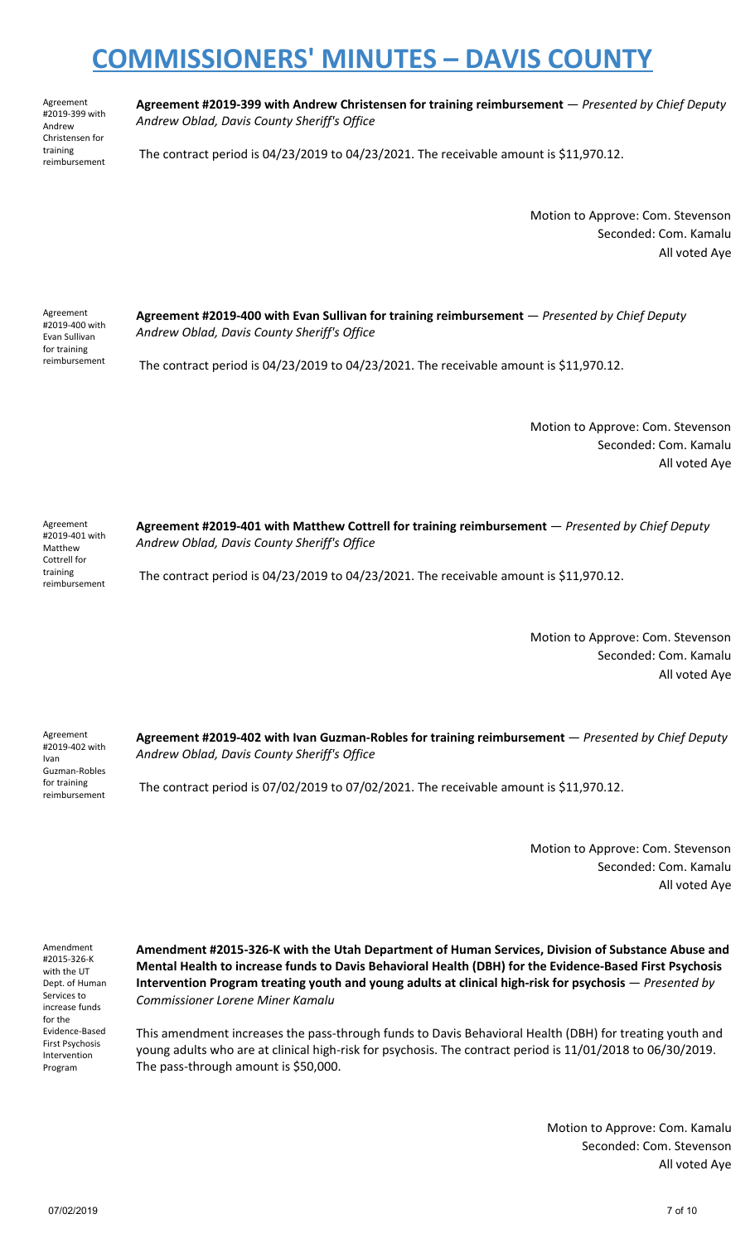Agreement #2019-399 with Andrew Christensen for training reimbursement

**Agreement #2019-399 with Andrew Christensen for training reimbursement** — *Presented by Chief Deputy Andrew Oblad, Davis County Sheriff's Office*

The contract period is 04/23/2019 to 04/23/2021. The receivable amount is \$11,970.12.

Motion to Approve: Com. Stevenson Seconded: Com. Kamalu All voted Aye

Agreement #2019-400 with Evan Sullivan for training reimbursement **Agreement #2019-400 with Evan Sullivan for training reimbursement** — *Presented by Chief Deputy Andrew Oblad, Davis County Sheriff's Office*

The contract period is 04/23/2019 to 04/23/2021. The receivable amount is \$11,970.12.

Motion to Approve: Com. Stevenson Seconded: Com. Kamalu All voted Aye

Agreement #2019-401 with Matthew Cottrell for training reimbursement **Agreement #2019-401 with Matthew Cottrell for training reimbursement** — *Presented by Chief Deputy Andrew Oblad, Davis County Sheriff's Office* The contract period is 04/23/2019 to 04/23/2021. The receivable amount is \$11,970.12.

> Motion to Approve: Com. Stevenson Seconded: Com. Kamalu All voted Aye

Agreement #2019-402 with Ivan Guzman-Robles for training **Agreement #2019-402 with Ivan Guzman-Robles for training reimbursement** — *Presented by Chief Deputy Andrew Oblad, Davis County Sheriff's Office*

The contract period is 07/02/2019 to 07/02/2021. The receivable amount is \$11,970.12.

Motion to Approve: Com. Stevenson Seconded: Com. Kamalu All voted Aye

Amendment #2015-326-K with the UT Dept. of Human Services to increase funds for the Evidence-Based First Psychosis Intervention Program

reimbursement

**Amendment #2015-326-K with the Utah Department of Human Services, Division of Substance Abuse and Mental Health to increase funds to Davis Behavioral Health (DBH) for the Evidence-Based First Psychosis Intervention Program treating youth and young adults at clinical high-risk for psychosis** — *Presented by Commissioner Lorene Miner Kamalu*

This amendment increases the pass-through funds to Davis Behavioral Health (DBH) for treating youth and young adults who are at clinical high-risk for psychosis. The contract period is 11/01/2018 to 06/30/2019. The pass-through amount is \$50,000.

> Motion to Approve: Com. Kamalu Seconded: Com. Stevenson All voted Aye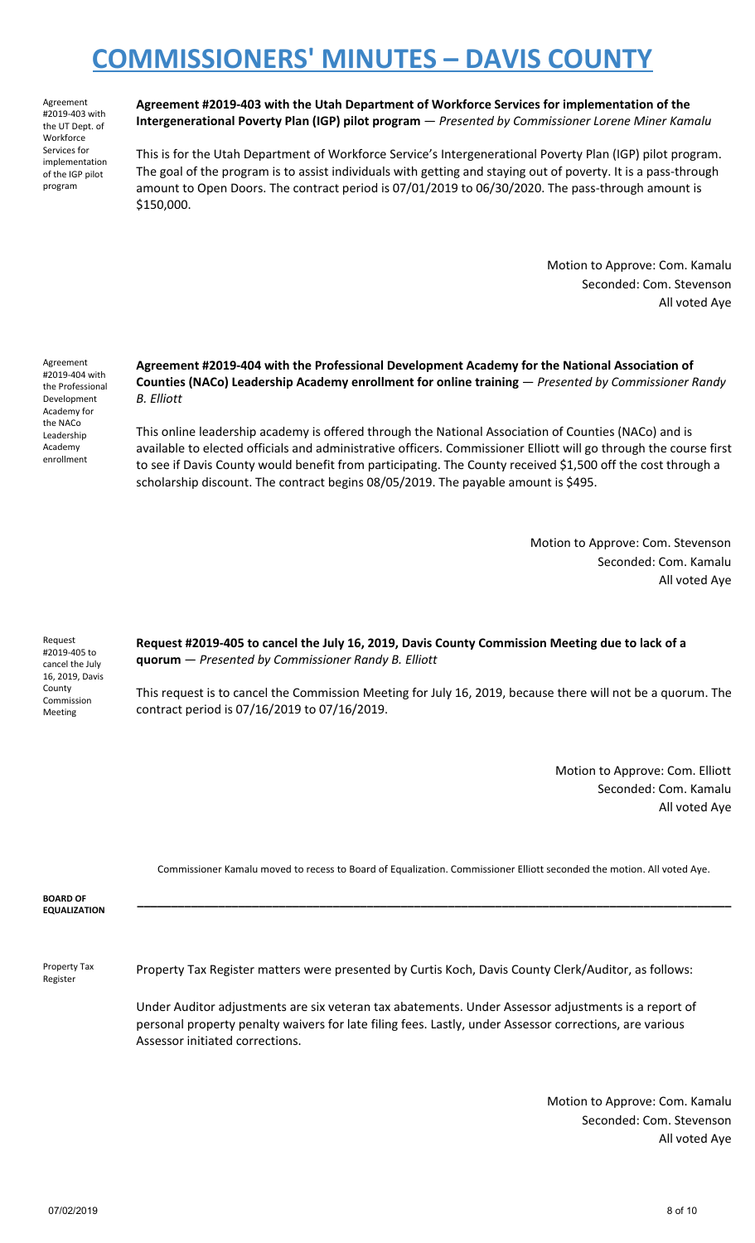Agreement #2019-403 with the UT Dept. of **Workforce** Services for implementation of the IGP pilot program

**Agreement #2019-403 with the Utah Department of Workforce Services for implementation of the Intergenerational Poverty Plan (IGP) pilot program** — *Presented by Commissioner Lorene Miner Kamalu*

This is for the Utah Department of Workforce Service's Intergenerational Poverty Plan (IGP) pilot program. The goal of the program is to assist individuals with getting and staying out of poverty. It is a pass-through amount to Open Doors. The contract period is 07/01/2019 to 06/30/2020. The pass-through amount is \$150,000.

> Motion to Approve: Com. Kamalu Seconded: Com. Stevenson All voted Aye

Agreement #2019-404 with the Professional Development Academy for the NACo Leadership Academy enrollment

**Agreement #2019-404 with the Professional Development Academy for the National Association of Counties (NACo) Leadership Academy enrollment for online training** — *Presented by Commissioner Randy B. Elliott*

This online leadership academy is offered through the National Association of Counties (NACo) and is available to elected officials and administrative officers. Commissioner Elliott will go through the course first to see if Davis County would benefit from participating. The County received \$1,500 off the cost through a scholarship discount. The contract begins 08/05/2019. The payable amount is \$495.

> Motion to Approve: Com. Stevenson Seconded: Com. Kamalu All voted Aye

Request #2019-405 to cancel the July 16, 2019, Davis County Commission Meeting

**Request #2019-405 to cancel the July 16, 2019, Davis County Commission Meeting due to lack of a quorum** — *Presented by Commissioner Randy B. Elliott*

This request is to cancel the Commission Meeting for July 16, 2019, because there will not be a quorum. The contract period is 07/16/2019 to 07/16/2019.

> Motion to Approve: Com. Elliott Seconded: Com. Kamalu All voted Aye

Commissioner Kamalu moved to recess to Board of Equalization. Commissioner Elliott seconded the motion. All voted Aye.

| <b>BOARD OF<br/>EQUALIZATION</b> |  |  |  |
|----------------------------------|--|--|--|
|                                  |  |  |  |
|                                  |  |  |  |

Property Tax Register

Property Tax Register matters were presented by Curtis Koch, Davis County Clerk/Auditor, as follows:

Under Auditor adjustments are six veteran tax abatements. Under Assessor adjustments is a report of personal property penalty waivers for late filing fees. Lastly, under Assessor corrections, are various Assessor initiated corrections.

> Motion to Approve: Com. Kamalu Seconded: Com. Stevenson All voted Aye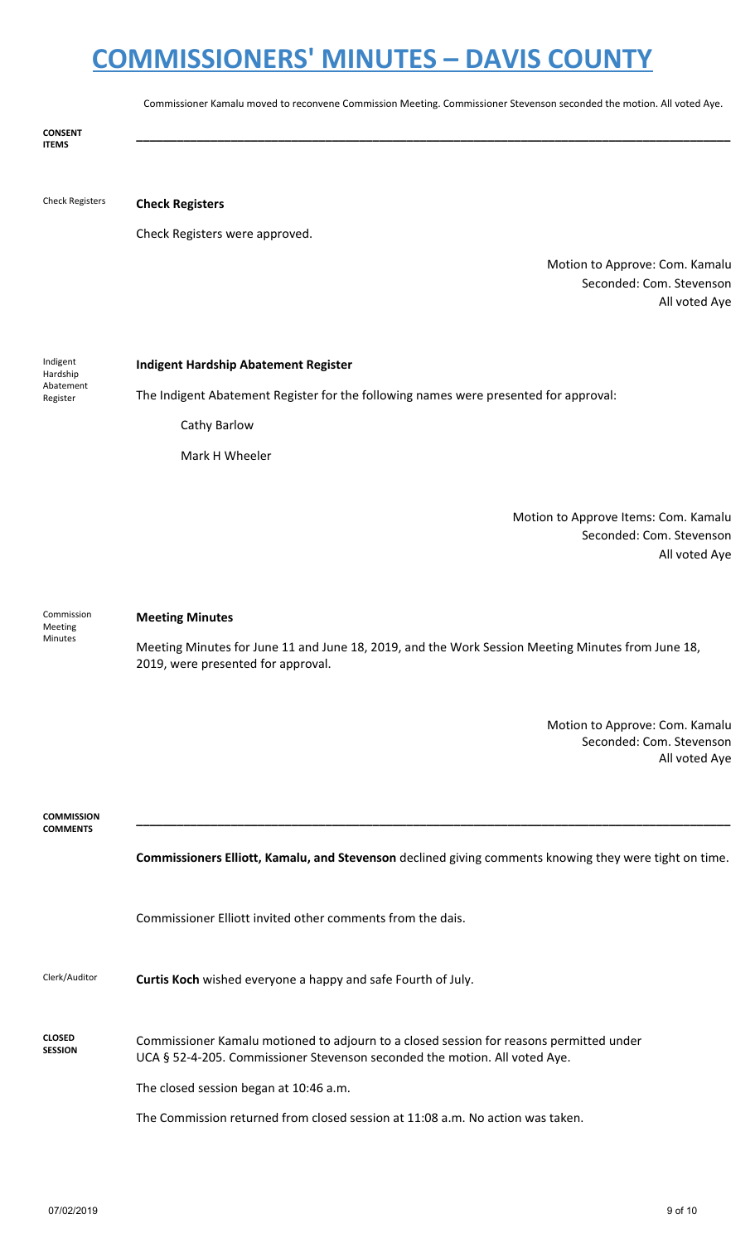Commissioner Kamalu moved to reconvene Commission Meeting. Commissioner Stevenson seconded the motion. All voted Aye.

**\_\_\_\_\_\_\_\_\_\_\_\_\_\_\_\_\_\_\_\_\_\_\_\_\_\_\_\_\_\_\_\_\_\_\_\_\_\_\_\_\_\_\_\_\_\_\_\_\_\_\_\_\_\_\_\_\_\_\_\_\_\_\_\_\_\_\_\_\_\_\_\_\_\_\_\_\_\_\_\_\_\_\_\_\_\_\_\_**

**CONSENT ITEMS**

#### Check Registers **Check Registers**

Check Registers were approved.

Motion to Approve: Com. Kamalu Seconded: Com. Stevenson All voted Aye

Indigent Hardship Abatement Register

#### **Indigent Hardship Abatement Register**

The Indigent Abatement Register for the following names were presented for approval:

Cathy Barlow

Mark H Wheeler

Motion to Approve Items: Com. Kamalu Seconded: Com. Stevenson All voted Aye

Commission Meeting Minutes

#### **Meeting Minutes**

Meeting Minutes for June 11 and June 18, 2019, and the Work Session Meeting Minutes from June 18, 2019, were presented for approval.

> Motion to Approve: Com. Kamalu Seconded: Com. Stevenson All voted Aye

**COMMISSION COMMENTS**

**Commissioners Elliott, Kamalu, and Stevenson** declined giving comments knowing they were tight on time.

**\_\_\_\_\_\_\_\_\_\_\_\_\_\_\_\_\_\_\_\_\_\_\_\_\_\_\_\_\_\_\_\_\_\_\_\_\_\_\_\_\_\_\_\_\_\_\_\_\_\_\_\_\_\_\_\_\_\_\_\_\_\_\_\_\_\_\_\_\_\_\_\_\_\_\_\_\_\_\_\_\_\_\_\_\_\_\_\_**

Commissioner Elliott invited other comments from the dais.

| Clerk/Auditor | Curtis Koch wished everyone a happy and safe Fourth of July. |
|---------------|--------------------------------------------------------------|
|---------------|--------------------------------------------------------------|

#### **CLOSED SESSION** Commissioner Kamalu motioned to adjourn to a closed session for reasons permitted under UCA § 52-4-205. Commissioner Stevenson seconded the motion. All voted Aye.

The closed session began at 10:46 a.m.

The Commission returned from closed session at 11:08 a.m. No action was taken.